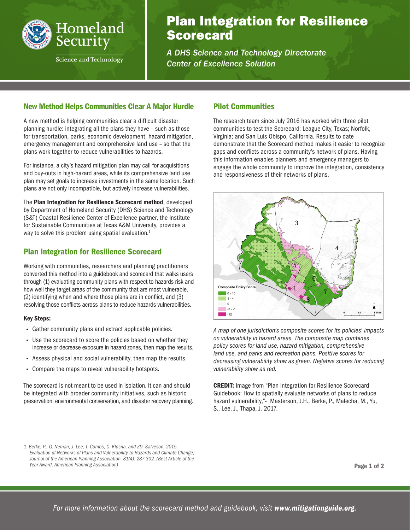

# Plan Integration for Resilience **Scorecard**

*A DHS Science and Technology Directorate Center of Excellence Solution*

### New Method Helps Communities Clear A Major Hurdle

A new method is helping communities clear a difficult disaster planning hurdle: integrating all the plans they have – such as those for transportation, parks, economic development, hazard mitigation, emergency management and comprehensive land use – so that the plans work together to reduce vulnerabilities to hazards.

For instance, a city's hazard mitigation plan may call for acquisitions and buy-outs in high-hazard areas, while its comprehensive land use plan may set goals to increase investments in the same location. Such plans are not only incompatible, but actively increase vulnerabilities.

The Plan Integration for Resilience Scorecard method, developed by Department of Homeland Security (DHS) Science and Technology (S&T) Coastal Resilience Center of Excellence partner, the Institute for Sustainable Communities at Texas A&M University, provides a way to solve this problem using spatial evaluation.<sup>1</sup>

## Plan Integration for Resilience Scorecard

Working with communities, researchers and planning practitioners converted this method into a guidebook and scorecard that walks users through (1) evaluating community plans with respect to hazards risk and how well they target areas of the community that are most vulnerable, (2) identifying when and where those plans are in conflict, and (3) resolving those conflicts across plans to reduce hazards vulnerabilities.

#### Key Steps:

- Gather community plans and extract applicable policies.
- Use the scorecard to score the policies based on whether they increase or decrease exposure in hazard zones, then map the results.
- Assess physical and social vulnerability, then map the results.
- Compare the maps to reveal vulnerability hotspots.

The scorecard is not meant to be used in isolation. It can and should be integrated with broader community initiatives, such as historic preservation, environmental conservation, and disaster recovery planning.

### Pilot Communities

The research team since July 2016 has worked with three pilot communities to test the Scorecard: League City, Texas; Norfolk, Virginia; and San Luis Obispo, California. Results to date demonstrate that the Scorecard method makes it easier to recognize gaps and conflicts across a community's network of plans. Having this information enables planners and emergency managers to engage the whole community to improve the integration, consistency and responsiveness of their networks of plans.



*A map of one jurisdiction's composite scores for its policies' impacts on vulnerability in hazard areas. The composite map combines policy scores for land use, hazard mitigation, comprehensive land use, and parks and recreation plans. Positive scores for decreasing vulnerability show as green. Negative scores for reducing vulnerability show as red.*

CREDIT: Image from "Plan Integration for Resilience Scorecard Guidebook: How to spatially evaluate networks of plans to reduce hazard vulnerability,"- Masterson, J.H., Berke, P., Malecha, M., Yu, S., Lee, J., Thapa, J. 2017.

Page 1 of 2

*<sup>1.</sup> Berke, P., G. Neman, J. Lee, T. Combs, C. Klosna, and ZD. Salveson. 2015. Evaluation of Networks of Plans and Vulnerability to Hazards and Climate Change, Journal of the American Planning Association, 81(4): 287-302. (Best Article of the Year Award, American Planning Association)*